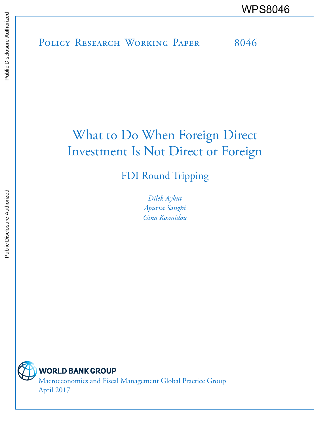POLICY RESEARCH WORKING PAPER 8046 WPS8046

# What to Do When Foreign Direct Investment Is Not Direct or Foreign

FDI Round Tripping

*Dilek Aykut Apurva Sanghi Gina Kosmidou*

**WORLD BANK GROUP** Macroeconomics and Fiscal Management Global Practice Group April 2017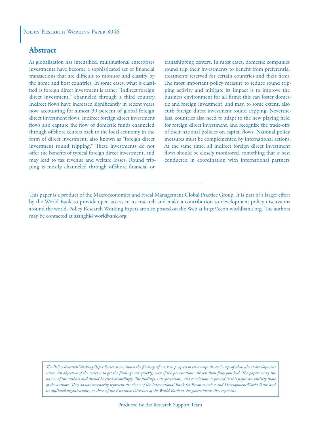# **Abstract**

As globalization has intensified, multinational enterprises' investments have become a sophisticated set of financial transactions that are difficult to monitor and classify by the home and host countries. In some cases, what is classified as foreign direct investment is rather "indirect foreign direct investment," channeled through a third country. Indirect flows have increased significantly in recent years, now accounting for almost 30 percent of global foreign direct investment flows. Indirect foreign direct investment flows also capture the flow of domestic funds channeled through offshore centers back to the local economy in the form of direct investment, also known as "foreign direct investment round tripping." These investments do not offer the benefits of typical foreign direct investment, and may lead to tax revenue and welfare losses. Round tripping is mostly channeled through offshore financial or

transshipping centers. In most cases, domestic companies round trip their investments to benefit from preferential treatments reserved for certain countries and their firms. The most important policy measure to reduce round tripping activity and mitigate its impact is to improve the business environment for all firms; this can foster domestic and foreign investment, and may, to some extent, also curb foreign direct investment round tripping. Nevertheless, countries also need to adapt to the new playing field for foreign direct investment, and recognize the trade-offs of their national policies on capital flows. National policy measures must be complemented by international actions. At the same time, all indirect foreign direct investment flows should be closely monitored, something that is best conducted in coordination with international partners.

*The Policy Research Working Paper Series disseminates the findings of work in progress to encourage the exchange of ideas about development*  issues. An objective of the series is to get the findings out quickly, even if the presentations are less than fully polished. The papers carry the *names of the authors and should be cited accordingly. The findings, interpretations, and conclusions expressed in this paper are entirely those of the authors. They do not necessarily represent the views of the International Bank for Reconstruction and Development/World Bank and its affiliated organizations, or those of the Executive Directors of the World Bank or the governments they represent.*

This paper is a product of the Macroeconomics and Fiscal Management Global Practice Group. It is part of a larger effort by the World Bank to provide open access to its research and make a contribution to development policy discussions around the world. Policy Research Working Papers are also posted on the Web at http://econ.worldbank.org. The authors may be contacted at asanghi@worldbank.org.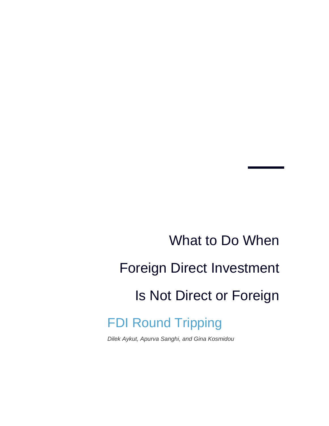# What to Do When Foreign Direct Investment Is Not Direct or Foreign FDI Round Tripping

*Dilek Aykut, Apurva Sanghi, and Gina Kosmidou*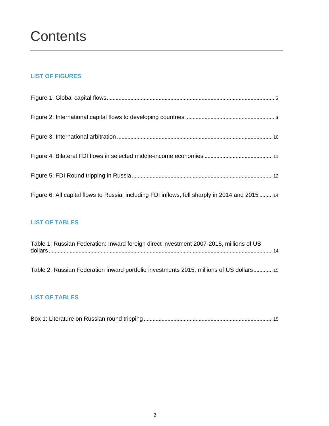# **LIST OF FIGURES**

| Figure 6: All capital flows to Russia, including FDI inflows, fell sharply in 2014 and 2015 14 |  |
|------------------------------------------------------------------------------------------------|--|

# **LIST OF TABLES**

| Table 1: Russian Federation: Inward foreign direct investment 2007-2015, millions of US  |  |  |  |  |  |  |
|------------------------------------------------------------------------------------------|--|--|--|--|--|--|
|                                                                                          |  |  |  |  |  |  |
| Table 2: Russian Federation inward portfolio investments 2015, millions of US dollars 15 |  |  |  |  |  |  |

# **LIST OF TABLES**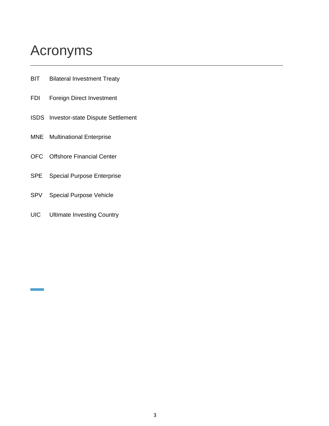# Acronyms

- **BIT** Bilateral Investment Treaty
- FDI Foreign Direct Investment
- ISDS Investor-state Dispute Settlement
- MNE Multinational Enterprise
- OFC Offshore Financial Center
- SPE Special Purpose Enterprise
- SPV Special Purpose Vehicle
- UIC Ultimate Investing Country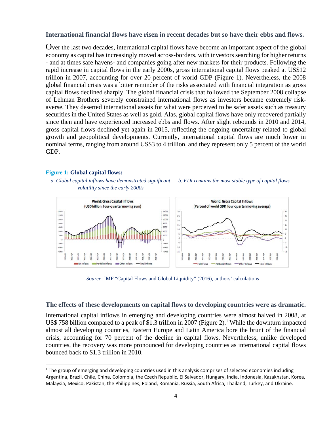#### **International financial flows have risen in recent decades but so have their ebbs and flows.**

Over the last two decades, international capital flows have become an important aspect of the global economy as capital has increasingly moved across-borders, with investors searching for higher returns - and at times safe havens- and companies going after new markets for their products. Following the rapid increase in capital flows in the early 2000s, gross international capital flows peaked at US\$12 trillion in 2007, accounting for over 20 percent of world GDP (Figure 1). Nevertheless, the 2008 global financial crisis was a bitter reminder of the risks associated with financial integration as gross capital flows declined sharply. The global financial crisis that followed the September 2008 collapse of Lehman Brothers severely constrained international flows as investors became extremely riskaverse. They deserted international assets for what were perceived to be safer assets such as treasury securities in the United States as well as gold. Alas, global capital flows have only recovered partially since then and have experienced increased ebbs and flows. After slight rebounds in 2010 and 2014, gross capital flows declined yet again in 2015, reflecting the ongoing uncertainty related to global growth and geopolitical developments. Currently, international capital flows are much lower in nominal terms, ranging from around US\$3 to 4 trillion, and they represent only 5 percent of the world GDP.

#### **Figure 1: Global capital flows:**

*a. Global capital inflows have demonstrated significant volatility since the early 2000s* 





*Source*: IMF "Capital Flows and Global Liquidity" (2016), authors' calculations

#### **The effects of these developments on capital flows to developing countries were as dramatic.**

International capital inflows in emerging and developing countries were almost halved in 2008, at US\$ 758 billion compared to a peak of \$1.3 trillion in 2007 (Figure 2).<sup>1</sup> While the downturn impacted almost all developing countries, Eastern Europe and Latin America bore the brunt of the financial crisis, accounting for 70 percent of the decline in capital flows. Nevertheless, unlike developed countries, the recovery was more pronounced for developing countries as international capital flows bounced back to \$1.3 trillion in 2010.

 $1$  The group of emerging and developing countries used in this analysis comprises of selected economies including Argentina, Brazil, Chile, China, Colombia, the Czech Republic, El Salvador, Hungary, India, Indonesia, Kazakhstan, Korea, Malaysia, Mexico, Pakistan, the Philippines, Poland, Romania, Russia, South Africa, Thailand, Turkey, and Ukraine.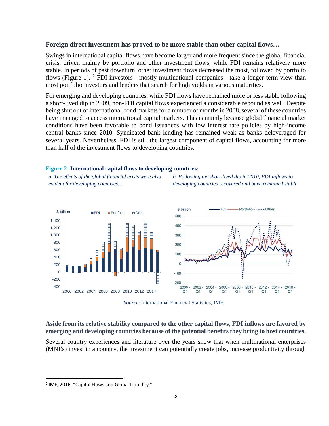#### **Foreign direct investment has proved to be more stable than other capital flows…**

Swings in international capital flows have become larger and more frequent since the global financial crisis, driven mainly by portfolio and other investment flows, while FDI remains relatively more stable. In periods of past downturn, other investment flows decreased the most, followed by portfolio flows (Figure 1).  $2$  FDI investors—mostly multinational companies—take a longer-term view than most portfolio investors and lenders that search for high yields in various maturities.

For emerging and developing countries, while FDI flows have remained more or less stable following a short-lived dip in 2009, non-FDI capital flows experienced a considerable rebound as well. Despite being shut out of international bond markets for a number of months in 2008, several of these countries have managed to access international capital markets. This is mainly because global financial market conditions have been favorable to bond issuances with low interest rate policies by high-income central banks since 2010. Syndicated bank lending has remained weak as banks deleveraged for several years. Nevertheless, FDI is still the largest component of capital flows, accounting for more than half of the investment flows to developing countries.

#### **Figure 2: International capital flows to developing countries:**

*a. The effects of the global financial crisis were also evident for developing countries….* 

*b. Following the short-lived dip in 2010, FDI inflows to developing countries recovered and have remained stable* 





#### **Aside from its relative stability compared to the other capital flows, FDI inflows are favored by emerging and developing countries because of the potential benefits they bring to host countries.**

Several country experiences and literature over the years show that when multinational enterprises (MNEs) invest in a country, the investment can potentially create jobs, increase productivity through

<sup>2</sup> IMF, 2016, "Capital Flows and Global Liquidity."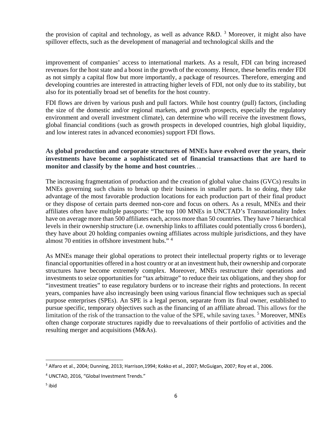the provision of capital and technology, as well as advance  $R&D$ . <sup>3</sup> Moreover, it might also have spillover effects, such as the development of managerial and technological skills and the

improvement of companies' access to international markets. As a result, FDI can bring increased revenues for the host state and a boost in the growth of the economy. Hence, these benefits render FDI as not simply a capital flow but more importantly, a package of resources. Therefore, emerging and developing countries are interested in attracting higher levels of FDI, not only due to its stability, but also for its potentially broad set of benefits for the host country.

FDI flows are driven by various push and pull factors. While host country (pull) factors, (including the size of the domestic and/or regional markets, and growth prospects, especially the regulatory environment and overall investment climate), can determine who will receive the investment flows, global financial conditions (such as growth prospects in developed countries, high global liquidity, and low interest rates in advanced economies) support FDI flows.

# **As global production and corporate structures of MNEs have evolved over the years, their investments have become a sophisticated set of financial transactions that are hard to monitor and classify by the home and host countries***…*

The increasing fragmentation of production and the creation of global value chains (GVCs) results in MNEs governing such chains to break up their business in smaller parts. In so doing, they take advantage of the most favorable production locations for each production part of their final product or they dispose of certain parts deemed non-core and focus on others. As a result, MNEs and their affiliates often have multiple passports: "The top 100 MNEs in UNCTAD's Transnationality Index have on average more than 500 affiliates each, across more than 50 countries. They have 7 hierarchical levels in their ownership structure (i.e. ownership links to affiliates could potentially cross 6 borders), they have about 20 holding companies owning affiliates across multiple jurisdictions, and they have almost 70 entities in offshore investment hubs." 4

As MNEs manage their global operations to protect their intellectual property rights or to leverage financial opportunities offered in a host country or at an investment hub, their ownership and corporate structures have become extremely complex. Moreover, MNEs restructure their operations and investments to seize opportunities for "tax arbitrage" to reduce their tax obligations, and they shop for "investment treaties" to ease regulatory burdens or to increase their rights and protections. In recent years, companies have also increasingly been using various financial flow techniques such as special purpose enterprises (SPEs). An SPE is a legal person, separate from its final owner, established to pursue specific, temporary objectives such as the financing of an affiliate abroad. This allows for the limitation of the risk of the transaction to the value of the SPE, while saving taxes.<sup>5</sup> Moreover, MNEs often change corporate structures rapidly due to reevaluations of their portfolio of activities and the resulting merger and acquisitions (M&As).

<sup>3</sup> Alfaro et al., 2004; Dunning, 2013; Harrison,1994; Kokko et al., 2007; McGuigan, 2007; Roy et al., 2006.

<sup>4</sup> UNCTAD, 2016, "Global Investment Trends."

<sup>5</sup> ibid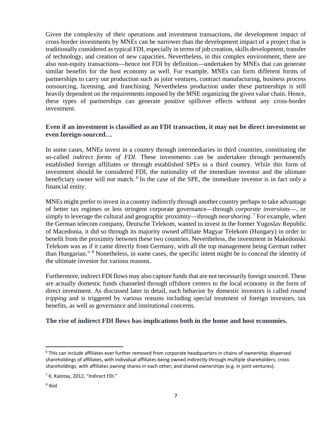Given the complexity of their operations and investment transactions, the development impact of cross-border investments by MNEs can be narrower than the development impact of a project that is traditionally considered as typical FDI, especially in terms of job creation, skills development, transfer of technology, and creation of new capacities. Nevertheless, in this complex environment, there are also non-equity transactions—hence not FDI by definition—undertaken by MNEs that can generate similar benefits for the host economy as well. For example, MNEs can form different forms of partnerships to carry out production such as joint ventures, contract manufacturing, business process outsourcing, licensing, and franchising. Nevertheless production under these partnerships is still heavily dependent on the requirements imposed by the MNE organizing the given value chain. Hence, these types of partnerships can generate positive spillover effects without any cross-border investment.

## **Even if an investment is classified as an FDI transaction, it may not be direct investment or even foreign-sourced…**

In some cases, MNEs invest in a country through intermediaries in third countries, constituting the so-called *indirect forms of FDI*. These investments can be undertaken through permanently established foreign affiliates or through established SPEs in a third country. While this form of investment should be considered FDI, the nationality of the immediate investor and the ultimate beneficiary owner will not match. <sup>6</sup> In the case of the SPE, the immediate investor is in fact only a financial entity.

MNEs might prefer to invest in a country indirectly through another country perhaps to take advantage of better tax regimes or less stringent corporate governance—through *corporate inversions*—, or simply to leverage the cultural and geographic proximity—through *nearshoring*.<sup>7</sup> For example, when the German telecom company, Deutsche Telekom, wanted to invest in the former Yugoslav Republic of Macedonia, it did so through its majority owned affiliate Magyar Telekom (Hungary) in order to benefit from the proximity between these two countries. Nevertheless, the investment in Makedonski Telekom was as if it came directly from Germany, with all the top management being German rather than Hungarian." <sup>8</sup> Nonetheless, in some cases, the specific intent might be to conceal the identity of the ultimate investor for various reasons.

Furthermore, indirect FDI flows may also capture funds that are not necessarily foreign sourced. These are actually domestic funds channeled through offshore centers to the local economy in the form of direct investment. As discussed later in detail, such behavior by domestic investors is called *round tripping* and is triggered by various reasons including special treatment of foreign investors, tax benefits, as well as governance and institutional concerns.

#### **The rise of indirect FDI flows has implications both in the home and host economies.**

<sup>6</sup> This can include affiliates ever further removed from corporate headquarters in chains of ownership: dispersed shareholdings of affiliates, with individual affiliates being owned indirectly through multiple shareholders; crossshareholdings, with affiliates owning shares in each other; and shared ownerships (e.g. in joint ventures).

<sup>&</sup>lt;sup>7</sup> K. Kalotay, 2012, "Indirect FDI."

<sup>8</sup> Ibid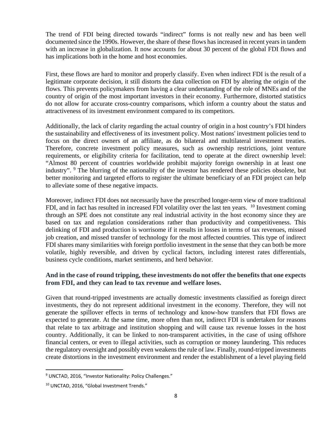The trend of FDI being directed towards "indirect" forms is not really new and has been well documented since the 1990s. However, the share of these flows has increased in recent years in tandem with an increase in globalization. It now accounts for about 30 percent of the global FDI flows and has implications both in the home and host economies.

First, these flows are hard to monitor and properly classify. Even when indirect FDI is the result of a legitimate corporate decision, it still distorts the data collection on FDI by altering the origin of the flows. This prevents policymakers from having a clear understanding of the role of MNEs and of the country of origin of the most important investors in their economy. Furthermore, distorted statistics do not allow for accurate cross-country comparisons, which inform a country about the status and attractiveness of its investment environment compared to its competitors.

Additionally, the lack of clarity regarding the actual country of origin in a host country's FDI hinders the sustainability and effectiveness of its investment policy. Most nations' investment policies tend to focus on the direct owners of an affiliate, as do bilateral and multilateral investment treaties. Therefore, concrete investment policy measures, such as ownership restrictions, joint venture requirements, or eligibility criteria for facilitation, tend to operate at the direct ownership level: "Almost 80 percent of countries worldwide prohibit majority foreign ownership in at least one industry". <sup>9</sup> The blurring of the nationality of the investor has rendered these policies obsolete, but better monitoring and targeted efforts to register the ultimate beneficiary of an FDI project can help to alleviate some of these negative impacts.

Moreover, indirect FDI does not necessarily have the prescribed longer-term view of more traditional FDI, and in fact has resulted in increased FDI volatility over the last ten years. <sup>10</sup> Investment coming through an SPE does not constitute any real industrial activity in the host economy since they are based on tax and regulation considerations rather than productivity and competitiveness. This delinking of FDI and production is worrisome if it results in losses in terms of tax revenues, missed job creation, and missed transfer of technology for the most affected countries. This type of indirect FDI shares many similarities with foreign portfolio investment in the sense that they can both be more volatile, highly reversible, and driven by cyclical factors, including interest rates differentials, business cycle conditions, market sentiments, and herd behavior.

# **And in the case of round tripping, these investments do not offer the benefits that one expects from FDI, and they can lead to tax revenue and welfare loses.**

Given that round-tripped investments are actually domestic investments classified as foreign direct investments, they do not represent additional investment in the economy. Therefore, they will not generate the spillover effects in terms of technology and know-how transfers that FDI flows are expected to generate. At the same time, more often than not, indirect FDI is undertaken for reasons that relate to tax arbitrage and institution shopping and will cause tax revenue losses in the host country. Additionally, it can be linked to non-transparent activities, in the case of using offshore financial centers, or even to illegal activities, such as corruption or money laundering. This reduces the regulatory oversight and possibly even weakens the rule of law. Finally, round-tripped investments create distortions in the investment environment and render the establishment of a level playing field

<sup>&</sup>lt;sup>9</sup> UNCTAD, 2016, "Investor Nationality: Policy Challenges."

<sup>10</sup> UNCTAD, 2016, "Global Investment Trends."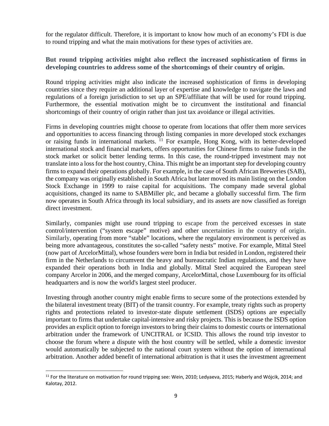for the regulator difficult. Therefore, it is important to know how much of an economy's FDI is due to round tripping and what the main motivations for these types of activities are.

# **But round tripping activities might also reflect the increased sophistication of firms in developing countries to address some of the shortcomings of their country of origin.**

Round tripping activities might also indicate the increased sophistication of firms in developing countries since they require an additional layer of expertise and knowledge to navigate the laws and regulations of a foreign jurisdiction to set up an SPE/affiliate that will be used for round tripping. Furthermore, the essential motivation might be to circumvent the institutional and financial shortcomings of their country of origin rather than just tax avoidance or illegal activities.

Firms in developing countries might choose to operate from locations that offer them more services and opportunities to access financing through listing companies in more developed stock exchanges or raising funds in international markets. <sup>11</sup> For example, Hong Kong, with its better-developed international stock and financial markets, offers opportunities for Chinese firms to raise funds in the stock market or solicit better lending terms. In this case, the round-tripped investment may not translate into a loss for the host country, China. This might be an important step for developing country firms to expand their operations globally. For example, in the case of South African Breweries (SAB), the company was originally established in South Africa but later moved its main listing on the London Stock Exchange in 1999 to raise capital for acquisitions. The company made several global acquisitions, changed its name to SABMiller plc, and became a globally successful firm. The firm now operates in South Africa through its local subsidiary, and its assets are now classified as foreign direct investment.

Similarly, companies might use round tripping to escape from the perceived excesses in state control/intervention ("system escape" motive) and other uncertainties in the country of origin. Similarly, operating from more "stable" locations, where the regulatory environment is perceived as being more advantageous, constitutes the so-called "safety nests" motive. For example, Mittal Steel (now part of ArcelorMittal), whose founders were born in India but resided in London, registered their firm in the Netherlands to circumvent the heavy and bureaucratic Indian regulations, and they have expanded their operations both in India and globally. Mittal Steel acquired the European steel company Arcelor in 2006, and the merged company, ArcelorMittal, chose Luxembourg for its official headquarters and is now the world's largest steel producer.

Investing through another country might enable firms to secure some of the protections extended by the bilateral investment treaty (BIT) of the transit country. For example, treaty rights such as property rights and protections related to investor-state dispute settlement (ISDS) options are especially important to firms that undertake capital-intensive and risky projects. This is because the ISDS option provides an explicit option to foreign investors to bring their claims to domestic courts or international arbitration under the framework of UNCITRAL or ICSID. This allows the round trip investor to choose the forum where a dispute with the host country will be settled, while a domestic investor would automatically be subjected to the national court system without the option of international arbitration. Another added benefit of international arbitration is that it uses the investment agreement

 $11$  For the literature on motivation for round tripping see: Wein, 2010; Ledyaeva, 2015; Haberly and Wójcik, 2014; and Kalotay, 2012.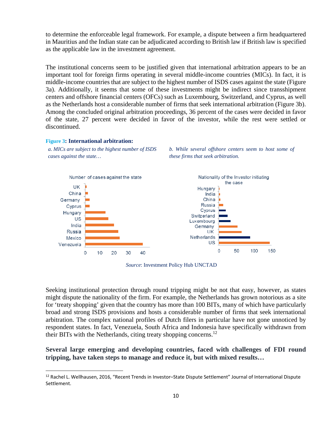to determine the enforceable legal framework. For example, a dispute between a firm headquartered in Mauritius and the Indian state can be adjudicated according to British law if British law is specified as the applicable law in the investment agreement.

The institutional concerns seem to be justified given that international arbitration appears to be an important tool for foreign firms operating in several middle-income countries (MICs). In fact, it is middle-income countries that are subject to the highest number of ISDS cases against the state (Figure 3a). Additionally, it seems that some of these investments might be indirect since transshipment centers and offshore financial centers (OFCs) such as Luxembourg, Switzerland, and Cyprus, as well as the Netherlands host a considerable number of firms that seek international arbitration (Figure 3b). Among the concluded original arbitration proceedings, 36 percent of the cases were decided in favor of the state, 27 percent were decided in favor of the investor, while the rest were settled or discontinued.

#### **Figure 3: International arbitration:**

*a. MICs are subject to the highest number of ISDS cases against the state…* 





*Source*: Investment Policy Hub UNCTAD

Seeking institutional protection through round tripping might be not that easy, however, as states might dispute the nationality of the firm. For example, the Netherlands has grown notorious as a site for 'treaty shopping' given that the country has more than 100 BITs, many of which have particularly broad and strong ISDS provisions and hosts a considerable number of firms that seek international arbitration. The complex national profiles of Dutch filers in particular have not gone unnoticed by respondent states. In fact, Venezuela, South Africa and Indonesia have specifically withdrawn from their BITs with the Netherlands, citing treaty shopping concerns.12

#### **Several large emerging and developing countries, faced with challenges of FDI round tripping, have taken steps to manage and reduce it, but with mixed results…**

<sup>&</sup>lt;sup>12</sup> Rachel L. Wellhausen, 2016, "Recent Trends in Investor-State Dispute Settlement" Journal of International Dispute Settlement.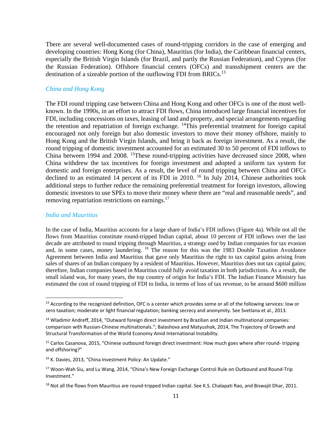There are several well-documented cases of round-tripping corridors in the case of emerging and developing countries: Hong Kong (for China), Mauritius (for India), the Caribbean financial centers, especially the British Virgin Islands (for Brazil, and partly the Russian Federation), and Cyprus (for the Russian Federation). Offshore financial centers (OFCs) and transshipment centers are the destination of a sizeable portion of the outflowing FDI from BRICs.<sup>13</sup>

#### *China and Hong Kong*

The FDI round tripping case between China and Hong Kong and other OFCs is one of the most wellknown. In the 1990s, in an effort to attract FDI flows, China introduced large financial incentives for FDI, including concessions on taxes, leasing of land and property, and special arrangements regarding the retention and repatriation of foreign exchange. 14This preferential treatment for foreign capital encouraged not only foreign but also domestic investors to move their money offshore, mainly to Hong Kong and the British Virgin Islands, and bring it back as foreign investment. As a result, the round tripping of domestic investment accounted for an estimated 30 to 50 percent of FDI inflows to China between 1994 and 2008. 15These round-tripping activities have decreased since 2008, when China withdrew the tax incentives for foreign investment and adopted a uniform tax system for domestic and foreign enterprises. As a result, the level of round tripping between China and OFCs declined to an estimated 14 percent of its FDI in 2010. <sup>16</sup> In July 2014, Chinese authorities took additional steps to further reduce the remaining preferential treatment for foreign investors, allowing domestic investors to use SPEs to move their money where there are "real and reasonable needs", and removing repatriation restrictions on earnings.<sup>17</sup>

#### *India and Mauritius*

In the case of India, Mauritius accounts for a large share of India's FDI inflows (Figure 4a). While not all the flows from Mauritius constitute round-tripped Indian capital, about 10 percent of FDI inflows over the last decade are attributed to round tripping through Mauritius, a strategy used by Indian companies for tax evasion and, in some cases, money laundering. 18 The reason for this was the 1983 Double Taxation Avoidance Agreement between India and Mauritius that gave only Mauritius the right to tax capital gains arising from sales of shares of an Indian company by a resident of Mauritius. However, Mauritius does not tax capital gains; therefore, Indian companies based in Mauritius could fully avoid taxation in both jurisdictions. As a result, the small island was, for many years, the top country of origin for India's FDI. The Indian Finance Ministry has estimated the cost of round tripping of FDI to India, in terms of loss of tax revenue, to be around \$600 million

 $<sup>13</sup>$  According to the recognized definition, OFC is a center which provides some or all of the following services: low or</sup> zero taxation; moderate or light financial regulation; banking secrecy and anonymity. See Svetlana et al., 2013.

<sup>&</sup>lt;sup>14</sup> Wladimir Andreff, 2014, "Outward foreign direct investment by Brazilian and Indian multinational companies: comparison with Russian‐Chinese multinationals."; Balashova and Matyushok, 2014, The Trajectory of Growth and Structural Transformation of the World Economy Amid International Instability.

<sup>15</sup> Carlos Casanova, 2015, "Chinese outbound foreign direct investment: How much goes where after round-tripping and offshoring?"

<sup>&</sup>lt;sup>16</sup> K. Davies, 2013, "China Investment Policy: An Update."

<sup>17</sup> Woon‐Wah Siu, and Lu Wang, 2014, "China's New Foreign Exchange Control Rule on Outbound and Round‐Trip Investment."

 $18$  Not all the flows from Mauritius are round-tripped Indian capital. See K.S. Chalapati Rao, and Biswajit Dhar, 2011.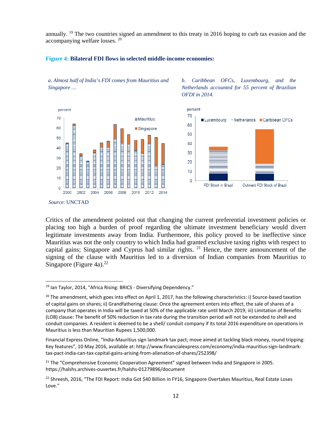annually. <sup>19</sup> The two countries signed an amendment to this treaty in 2016 hoping to curb tax evasion and the accompanying welfare losses. <sup>20</sup>

*OFDI in 2014.* 

#### **Figure 4: Bilateral FDI flows in selected middle-income economies:**

*a. Almost half of India's FDI comes from Mauritius and Singapore …* 





*b. Caribbean OFCs, Luxembourg, and the Netherlands accounted for 55 percent of Brazilian* 

*Source*: UNCTAD

Critics of the amendment pointed out that changing the current preferential investment policies or placing too high a burden of proof regarding the ultimate investment beneficiary would divert legitimate investments away from India. Furthermore, this policy proved to be ineffective since Mauritius was not the only country to which India had granted exclusive taxing rights with respect to capital gains; Singapore and Cyprus had similar rights. <sup>21</sup> Hence, the mere announcement of the signing of the clause with Mauritius led to a diversion of Indian companies from Mauritius to Singapore (Figure 4a). $^{22}$ 

<sup>&</sup>lt;sup>19</sup> Ian Taylor, 2014, "Africa Rising: BRICS - Diversifying Dependency."

 $20$  The amendment, which goes into effect on April 1, 2017, has the following characteristics: i) Source-based taxation of capital gains on shares; ii) Grandfathering clause: Once the agreement enters into effect, the sale of shares of a company that operates in India will be taxed at 50% of the applicable rate until March 2019; iii) Limitation of Benefits (LOB) clause: The benefit of 50% reduction in tax rate during the transition period will not be extended to shell and conduit companies. A resident is deemed to be a shell/ conduit company if its total 2016 expenditure on operations in Mauritius is less than Mauritian Rupees 1,500,000.

Financial Express Online, "India‐Mauritius sign landmark tax pact; move aimed at tackling black money, round tripping: Key features", 10 May 2016, available at: http://www.financialexpress.com/economy/india‐mauritius‐sign‐landmark‐ tax‐pact‐india‐can‐tax‐capital‐gains‐arising‐from‐alienation‐of‐shares/252398/

 $21$  The "Comprehensive Economic Cooperation Agreement" signed between India and Singapore in 2005. https://halshs.archives‐ouvertes.fr/halshs‐01279896/document

<sup>&</sup>lt;sup>22</sup> Shreesh, 2016, "The FDI Report: India Got \$40 Billion in FY16, Singapore Overtakes Mauritius, Real Estate Loses Love."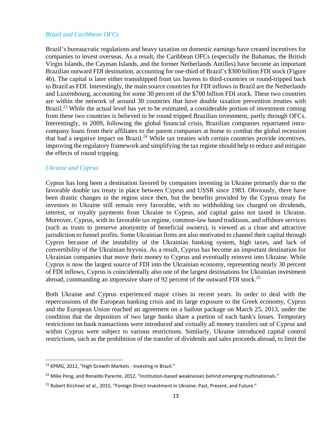#### *Brazil and Caribbean OFCs*

Brazil's bureaucratic regulations and heavy taxation on domestic earnings have created incentives for companies to invest overseas. As a result, the Caribbean OFCs (especially the Bahamas, the British Virgin Islands, the Cayman Islands, and the former Netherlands Antilles) have become an important Brazilian outward FDI destination, accounting for one-third of Brazil's \$300 billion FDI stock (Figure 4b). The capital is later either transshipped from tax havens to third-countries or round-tripped back to Brazil as FDI. Interestingly, the main source countries for FDI inflows in Brazil are the Netherlands and Luxembourg, accounting for some 30 percent of the \$700 billion FDI stock. These two countries are within the network of around 30 countries that have double taxation prevention treaties with Brazil.<sup>23</sup> While the actual level has yet to be estimated, a considerable portion of investment coming from these two countries is believed to be round tripped Brazilian investment, partly through OFCs. Interestingly, in 2009, following the global financial crisis, Brazilian companies repatriated intracompany loans from their affiliates to the parent companies at home to combat the global recession that had a negative impact on Brazil.<sup>24</sup> While tax treaties with certain countries provide incentives, improving the regulatory framework and simplifying the tax regime should help to reduce and mitigate the effects of round tripping.

#### *Ukraine and Cyprus*

Cyprus has long been a destination favored by companies investing in Ukraine primarily due to the favorable double tax treaty in place between Cyprus and USSR since 1983. Obviously, there have been drastic changes in the region since then, but the benefits provided by the Cyprus treaty for investors to Ukraine still remain very favorable, with no withholding tax charged on dividends, interest, or royalty payments from Ukraine to Cyprus, and capital gains not taxed in Ukraine. Moreover, Cyprus, with its favorable tax regime, common-law based traditions, and offshore services (such as trusts to preserve anonymity of beneficial owners), is viewed as a close and attractive jurisdiction to funnel profits. Some Ukrainian firms are also motivated to channel their capital through Cyprus because of the instability of the Ukrainian banking system, high taxes, and lack of convertibility of the Ukrainian hryvnia. As a result, Cyprus has become an important destination for Ukrainian companies that move their money to Cyprus and eventually reinvest into Ukraine. While Cyprus is now the largest source of FDI into the Ukrainian economy, representing nearly 30 percent of FDI inflows, Cyprus is coincidentally also one of the largest destinations for Ukrainian investment abroad, commanding an impressive share of 92 percent of the outward FDI stock.<sup>25</sup>

Both Ukraine and Cyprus experienced major crises in recent years. In order to deal with the repercussions of the European banking crisis and its large exposure to the Greek economy, Cyprus and the European Union reached an agreement on a bailout package on March 25, 2013, under the condition that the depositors of two large banks share a portion of each bank's losses. Temporary restrictions on bank transactions were introduced and virtually all money transfers out of Cyprus and within Cyprus were subject to various restrictions. Similarly, Ukraine introduced capital control restrictions, such as the prohibition of the transfer of dividends and sales proceeds abroad, to limit the

<sup>23</sup> KPMG, 2012, "High Growth Markets ‐ Investing in Brazil."

<sup>&</sup>lt;sup>24</sup> Mike Peng, and Ronaldo Parente, 2012, "Institution-based weaknesses behind emerging multinationals."

<sup>&</sup>lt;sup>25</sup> Robert Kirchner et al., 2015, "Foreign Direct Investment in Ukraine: Past, Present, and Future."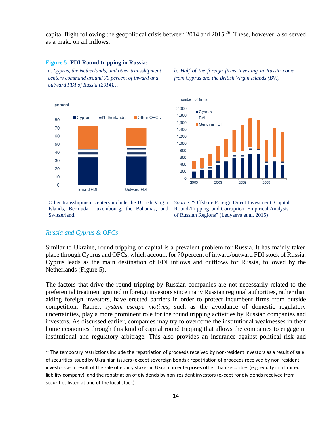capital flight following the geopolitical crisis between 2014 and  $2015<sup>26</sup>$  These, however, also served as a brake on all inflows.

#### **Figure 5: FDI Round tripping in Russia:**

*a. Cyprus, the Netherlands, and other transshipment centers command around 70 percent of inward and outward FDI of Russia (2014)…* 



*b. Half of the foreign firms investing in Russia come from Cyprus and the British Virgin Islands (BVI)* 



Other transshipment centers include the British Virgin Islands, Bermuda, Luxembourg, the Bahamas, and Switzerland.

*Source*: "Offshore Foreign Direct Investment, Capital Round-Tripping, and Corruption: Empirical Analysis of Russian Regions" (Ledyaeva et al. 2015)

#### *Russia and Cyprus & OFCs*

Similar to Ukraine, round tripping of capital is a prevalent problem for Russia. It has mainly taken place through Cyprus and OFCs, which account for 70 percent of inward/outward FDI stock of Russia. Cyprus leads as the main destination of FDI inflows and outflows for Russia, followed by the Netherlands (Figure 5).

The factors that drive the round tripping by Russian companies are not necessarily related to the preferential treatment granted to foreign investors since many Russian regional authorities, rather than aiding foreign investors, have erected barriers in order to protect incumbent firms from outside competition. Rather, *system escape motives*, such as the avoidance of domestic regulatory uncertainties, play a more prominent role for the round tripping activities by Russian companies and investors. As discussed earlier, companies may try to overcome the institutional weaknesses in their home economies through this kind of capital round tripping that allows the companies to engage in institutional and regulatory arbitrage. This also provides an insurance against political risk and

<sup>&</sup>lt;sup>26</sup> The temporary restrictions include the repatriation of proceeds received by non-resident investors as a result of sale of securities issued by Ukrainian issuers (except sovereign bonds); repatriation of proceeds received by non‐resident investors as a result of the sale of equity stakes in Ukrainian enterprises other than securities (e.g. equity in a limited liability company); and the repatriation of dividends by non-resident investors (except for dividends received from securities listed at one of the local stock).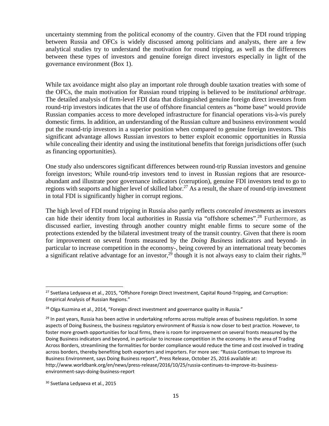uncertainty stemming from the political economy of the country. Given that the FDI round tripping between Russia and OFCs is widely discussed among politicians and analysts, there are a few analytical studies try to understand the motivation for round tripping, as well as the differences between these types of investors and genuine foreign direct investors especially in light of the governance environment (Box 1).

While tax avoidance might also play an important role through double taxation treaties with some of the OFCs, the main motivation for Russian round tripping is believed to be *institutional arbitrage*. The detailed analysis of firm-level FDI data that distinguished genuine foreign direct investors from round-trip investors indicates that the use of offshore financial centers as "home base" would provide Russian companies access to more developed infrastructure for financial operations vis-à-vis purely domestic firms. In addition, an understanding of the Russian culture and business environment would put the round-trip investors in a superior position when compared to genuine foreign investors. This significant advantage allows Russian investors to better exploit economic opportunities in Russia while concealing their identity and using the institutional benefits that foreign jurisdictions offer (such as financing opportunities).

One study also underscores significant differences between round-trip Russian investors and genuine foreign investors; While round-trip investors tend to invest in Russian regions that are resourceabundant and illustrate poor governance indicators (corruption), genuine FDI investors tend to go to regions with seaports and higher level of skilled labor.<sup>27</sup> As a result, the share of round-trip investment in total FDI is significantly higher in corrupt regions.

The high level of FDI round tripping in Russia also partly reflects *concealed investments* as investors can hide their identity from local authorities in Russia via "offshore schemes".28 Furthermore, as discussed earlier, investing through another country might enable firms to secure some of the protections extended by the bilateral investment treaty of the transit country. Given that there is room for improvement on several fronts measured by the *Doing Business* indicators and beyond- in particular to increase competition in the economy-, being covered by an international treaty becomes a significant relative advantage for an investor,<sup>29</sup> though it is not always easy to claim their rights.<sup>30</sup>

<sup>&</sup>lt;sup>27</sup> Svetlana Ledyaeva et al., 2015, "Offshore Foreign Direct Investment, Capital Round-Tripping, and Corruption: Empirical Analysis of Russian Regions."

<sup>&</sup>lt;sup>28</sup> Olga Kuzmina et al., 2014, "Foreign direct investment and governance quality in Russia."

<sup>&</sup>lt;sup>29</sup> In past years, Russia has been active in undertaking reforms across multiple areas of business regulation. In some aspects of Doing Business, the business regulatory environment of Russia is now closer to best practice. However, to foster more growth opportunities for local firms, there is room for improvement on several fronts measured by the Doing Business indicators and beyond, in particular to increase competition in the economy. In the area of Trading Across Borders, streamlining the formalities for border compliance would reduce the time and cost involved in trading across borders, thereby benefiting both exporters and importers. For more see: "Russia Continues to Improve its Business Environment, says Doing Business report", Press Release, October 25, 2016 available at: http://www.worldbank.org/en/news/press-release/2016/10/25/russia-continues-to-improve-its-businessenvironment‐says‐doing‐business‐report

<sup>30</sup> Svetlana Ledyaeva et al., 2015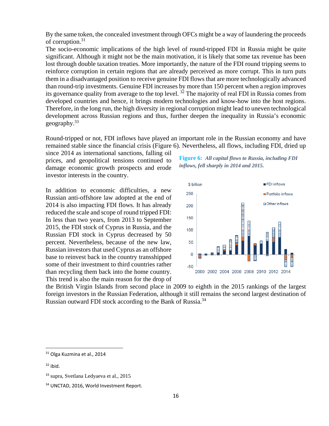By the same token, the concealed investment through OFCs might be a way of laundering the proceeds of corruption.<sup>31</sup>

The socio-economic implications of the high level of round-tripped FDI in Russia might be quite significant. Although it might not be the main motivation, it is likely that some tax revenue has been lost through double taxation treaties. More importantly, the nature of the FDI round tripping seems to reinforce corruption in certain regions that are already perceived as more corrupt. This in turn puts them in a disadvantaged position to receive genuine FDI flows that are more technologically advanced than round-trip investments. Genuine FDI increases by more than 150 percent when a region improves its governance quality from average to the top level. 32 The majority of real FDI in Russia comes from developed countries and hence, it brings modern technologies and know-how into the host regions. Therefore, in the long run, the high diversity in regional corruption might lead to uneven technological development across Russian regions and thus, further deepen the inequality in Russia's economic geography.<sup>33</sup>

Round-tripped or not, FDI inflows have played an important role in the Russian economy and have remained stable since the financial crisis (Figure 6). Nevertheless, all flows, including FDI, dried up

since 2014 as international sanctions, falling oil prices, and geopolitical tensions continued to damage economic growth prospects and erode investor interests in the country.

In addition to economic difficulties, a new Russian anti-offshore law adopted at the end of 2014 is also impacting FDI flows. It has already reduced the scale and scope of round tripped FDI: In less than two years, from 2013 to September 2015, the FDI stock of Cyprus in Russia, and the Russian FDI stock in Cyprus decreased by 50 percent. Nevertheless, because of the new law, Russian investors that used Cyprus as an offshore base to reinvest back in the country transshipped some of their investment to third countries rather than recycling them back into the home country. This trend is also the main reason for the drop of

**Figure 6:** *All capital flows to Russia, including FDI inflows, fell sharply in 2014 and 2015.*



the British Virgin Islands from second place in 2009 to eighth in the 2015 rankings of the largest foreign investors in the Russian Federation, although it still remains the second largest destination of Russian outward FDI stock according to the Bank of Russia.<sup>34</sup>

<sup>31</sup> Olga Kuzmina et al., 2014

 $32$  ibid.

<sup>33</sup> supra, Svetlana Ledyaeva et al., 2015

<sup>34</sup> UNCTAD, 2016, World Investment Report.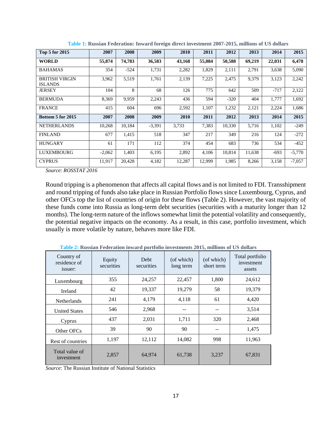| Top 5 for 2015                          | 2007     | 2008   | 2009     | 2010   | 2011   | 2012   | 2013   | 2014   | 2015     |
|-----------------------------------------|----------|--------|----------|--------|--------|--------|--------|--------|----------|
| <b>WORLD</b>                            | 55,874   | 74,783 | 36,583   | 43,168 | 55,084 | 50,588 | 69,219 | 22,031 | 6,478    |
| <b>BAHAMAS</b>                          | 354      | $-524$ | 1,731    | 2,282  | 1,829  | 2,111  | 2,791  | 3,638  | 5,090    |
| <b>BRITISH VIRGIN</b><br><b>ISLANDS</b> | 3,962    | 5,519  | 1,761    | 2,139  | 7,225  | 2,475  | 9,379  | 3,123  | 2,242    |
| JERSEY                                  | 104      | 8      | 68       | 126    | 775    | 642    | 509    | $-717$ | 2,122    |
| <b>BERMUDA</b>                          | 8,369    | 9,959  | 2,243    | 436    | 594    | $-320$ | 404    | 1,777  | 1,692    |
| <b>FRANCE</b>                           | 415      | 604    | 696      | 2,592  | 1,107  | 1,232  | 2,121  | 2,224  | 1,686    |
| Bottom 5 for 2015                       | 2007     | 2008   | 2009     | 2010   | 2011   | 2012   | 2013   | 2014   | 2015     |
| <b>NETHERLANDS</b>                      | 10,268   | 10,184 | $-3,391$ | 3,733  | 7,383  | 10,330 | 5,716  | 1,102  | $-249$   |
| <b>FINLAND</b>                          | 677      | 1,415  | 518      | 347    | 217    | 349    | 216    | 124    | $-272$   |
| <b>HUNGARY</b>                          | 61       | 171    | 112      | 374    | 454    | 683    | 736    | 534    | $-452$   |
| <b>LUXEMBOURG</b>                       | $-2,062$ | 1,403  | 6,195    | 2,892  | 4,106  | 10,814 | 11,638 | $-693$ | $-5,770$ |
| <b>CYPRUS</b>                           | 11,917   | 20,428 | 4,182    | 12,287 | 12,999 | 1,985  | 8,266  | 3,158  | $-7,057$ |

**Table 1: Russian Federation: Inward foreign direct investment 2007-2015, millions of US dollars** 

*Source*: *ROSSTAT 2016*

Round tripping is a phenomenon that affects all capital flows and is not limited to FDI. Transshipment and round tripping of funds also take place in Russian Portfolio flows since Luxembourg, Cyprus, and other OFCs top the list of countries of origin for these flows (Table 2). However, the vast majority of these funds come into Russia as long-term debt securities (securities with a maturity longer than 12 months). The long-term nature of the inflows somewhat limit the potential volatility and consequently, the potential negative impacts on the economy. As a result, in this case, portfolio investment, which usually is more volatile by nature, behaves more like FDI.

| Country of<br>residence of<br>issuer: | Equity<br>securities | Debt<br>securities | (of which)<br>long term | (of which)<br>short term | Total portfolio<br>investment<br>assets |
|---------------------------------------|----------------------|--------------------|-------------------------|--------------------------|-----------------------------------------|
| Luxembourg                            | 355                  | 24,257<br>22,457   |                         | 1,800                    | 24,612                                  |
| Ireland                               | 42                   | 19,337             | 19,279                  | 58                       | 19,379                                  |
| <b>Netherlands</b>                    | 241                  | 4,179              | 4,118                   | 61                       | 4,420                                   |
| <b>United States</b>                  | 546                  | 2,968              |                         |                          | 3,514                                   |
| Cyprus                                | 437                  | 2,031              | 1,711                   | 320                      | 2,468                                   |
| Other OFCs                            | 39                   | 90                 | 90                      |                          | 1,475                                   |
| Rest of countries                     | 1,197                | 12,112             | 14,082                  | 998                      | 11,963                                  |
| Total value of<br>investment          | 2,857                | 64,974             | 61,738                  | 3,237                    | 67,831                                  |

**Table 2: Russian Federation inward portfolio investments 2015, millions of US dollars** 

*Source*: The Russian Institute of National Statistics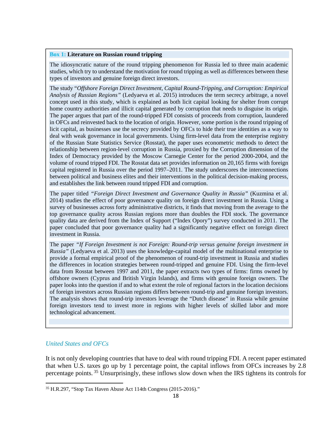#### **Box 1: Literature on Russian round tripping**

The idiosyncratic nature of the round tripping phenomenon for Russia led to three main academic studies, which try to understand the motivation for round tripping as well as differences between these types of investors and genuine foreign direct investors.

The study "*Offshore Foreign Direct Investment, Capital Round-Tripping, and Corruption: Empirical Analysis of Russian Regions"* (Ledyaeva et al. 2015) introduces the term secrecy arbitrage, a novel concept used in this study, which is explained as both licit capital looking for shelter from corrupt home country authorities and illicit capital generated by corruption that needs to disguise its origin. The paper argues that part of the round-tripped FDI consists of proceeds from corruption, laundered in OFCs and reinvested back to the location of origin. However, some portion is the round tripping of licit capital, as businesses use the secrecy provided by OFCs to hide their true identities as a way to deal with weak governance in local governments. Using firm-level data from the enterprise registry of the Russian State Statistics Service (Rosstat), the paper uses econometric methods to detect the relationship between region-level corruption in Russia, proxied by the Corruption dimension of the Index of Democracy provided by the Moscow Carnegie Center for the period 2000-2004, and the volume of round tripped FDI. The Rosstat data set provides information on 20,165 firms with foreign capital registered in Russia over the period 1997–2011. The study underscores the interconnections between political and business elites and their interventions in the political decision-making process, and establishes the link between round tripped FDI and corruption.

The paper titled *"Foreign Direct Investment and Governance Quality in Russia"* (Kuzmina et al. 2014) studies the effect of poor governance quality on foreign direct investment in Russia. Using a survey of businesses across forty administrative districts, it finds that moving from the average to the top governance quality across Russian regions more than doubles the FDI stock. The governance quality data are derived from the Index of Support ("Index Opory") survey conducted in 2011. The paper concluded that poor governance quality had a significantly negative effect on foreign direct investment in Russia.

The paper *"If Foreign Investment is not Foreign: Round-trip versus genuine foreign investment in Russia"* (Ledyaeva et al. 2013) uses the knowledge-capital model of the multinational enterprise to provide a formal empirical proof of the phenomenon of round-trip investment in Russia and studies the differences in location strategies between round-tripped and genuine FDI. Using the firm-level data from Rosstat between 1997 and 2011, the paper extracts two types of firms: firms owned by offshore owners (Cyprus and British Virgin Islands), and firms with genuine foreign owners. The paper looks into the question if and to what extent the role of regional factors in the location decisions of foreign investors across Russian regions differs between round-trip and genuine foreign investors. The analysis shows that round-trip investors leverage the "Dutch disease" in Russia while genuine foreign investors tend to invest more in regions with higher levels of skilled labor and more technological advancement.

# *United States and OFCs*

It is not only developing countries that have to deal with round tripping FDI. A recent paper estimated that when U.S. taxes go up by 1 percentage point, the capital inflows from OFCs increases by 2.8 percentage points. 35 Unsurprisingly, these inflows slow down when the IRS tightens its controls for

<sup>35</sup> H.R.297, "Stop Tax Haven Abuse Act 114th Congress (2015-2016)."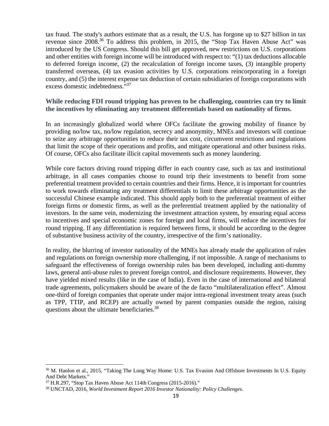tax fraud. The study's authors estimate that as a result, the U.S. has forgone up to \$27 billion in tax revenue since 2008.36 To address this problem, in 2015, the "Stop Tax Haven Abuse Act" was introduced by the US Congress. Should this bill get approved, new restrictions on U.S. corporations and other entities with foreign income will be introduced with respect to: "(1) tax deductions allocable to deferred foreign income, (2) the recalculation of foreign income taxes, (3) intangible property transferred overseas, (4) tax evasion activities by U.S. corporations reincorporating in a foreign country, and (5) the interest expense tax deduction of certain subsidiaries of foreign corporations with excess domestic indebtedness."37

# **While reducing FDI round tripping has proven to be challenging, countries can try to limit the incentives by eliminating any treatment differentials based on nationality of firms.**

In an increasingly globalized world where OFCs facilitate the growing mobility of finance by providing no/low tax, no/low regulation, secrecy and anonymity, MNEs and investors will continue to seize any arbitrage opportunities to reduce their tax cost, circumvent restrictions and regulations that limit the scope of their operations and profits, and mitigate operational and other business risks. Of course, OFCs also facilitate illicit capital movements such as money laundering.

While core factors driving round tripping differ in each country case, such as tax and institutional arbitrage, in all cases companies choose to round trip their investments to benefit from some preferential treatment provided to certain countries and their firms. Hence, it is important for countries to work towards eliminating any treatment differentials to limit these arbitrage opportunities as the successful Chinese example indicated. This should apply both to the preferential treatment of either foreign firms or domestic firms, as well as the preferential treatment applied by the nationality of investors. In the same vein, modernizing the investment attraction system, by ensuring equal access to incentives and special economic zones for foreign and local firms, will reduce the incentives for round tripping. If any differentiation is required between firms, it should be according to the degree of substantive business activity of the country, irrespective of the firm's nationality.

In reality, the blurring of investor nationality of the MNEs has already made the application of rules and regulations on foreign ownership more challenging, if not impossible. A range of mechanisms to safeguard the effectiveness of foreign ownership rules has been developed, including anti-dummy laws, general anti-abuse rules to prevent foreign control, and disclosure requirements. However, they have yielded mixed results (like in the case of India). Even in the case of international and bilateral trade agreements, policymakers should be aware of the de facto "multilateralization effect". Almost one-third of foreign companies that operate under major intra-regional investment treaty areas (such as TPP, TTIP, and RCEP) are actually owned by parent companies outside the region, raising questions about the ultimate beneficiaries.38

<sup>&</sup>lt;sup>36</sup> M. Hanlon et al., 2015, "Taking The Long Way Home: U.S. Tax Evasion And Offshore Investments In U.S. Equity And Debt Markets."

 $37$  H.R.297, "Stop Tax Haven Abuse Act 114th Congress (2015-2016)."

<sup>38</sup> UNCTAD, 2016, *World Investment Report 2016 Investor Nationality: Policy Challenges*.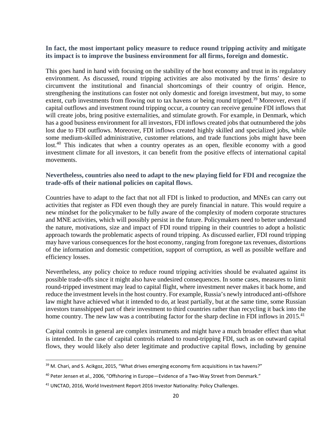# **In fact, the most important policy measure to reduce round tripping activity and mitigate its impact is to improve the business environment for all firms, foreign and domestic.**

This goes hand in hand with focusing on the stability of the host economy and trust in its regulatory environment. As discussed, round tripping activities are also motivated by the firms' desire to circumvent the institutional and financial shortcomings of their country of origin. Hence, strengthening the institutions can foster not only domestic and foreign investment, but may, to some extent, curb investments from flowing out to tax havens or being round tripped.<sup>39</sup> Moreover, even if capital outflows and investment round tripping occur, a country can receive genuine FDI inflows that will create jobs, bring positive externalities, and stimulate growth. For example, in Denmark, which has a good business environment for all investors, FDI inflows created jobs that outnumbered the jobs lost due to FDI outflows. Moreover, FDI inflows created highly skilled and specialized jobs, while some medium-skilled administrative, customer relations, and trade functions jobs might have been lost.<sup>40</sup> This indicates that when a country operates as an open, flexible economy with a good investment climate for all investors, it can benefit from the positive effects of international capital movements.

# **Nevertheless, countries also need to adapt to the new playing field for FDI and recognize the trade-offs of their national policies on capital flows.**

Countries have to adapt to the fact that not all FDI is linked to production, and MNEs can carry out activities that register as FDI even though they are purely financial in nature. This would require a new mindset for the policymaker to be fully aware of the complexity of modern corporate structures and MNE activities, which will possibly persist in the future. Policymakers need to better understand the nature, motivations, size and impact of FDI round tripping in their countries to adopt a holistic approach towards the problematic aspects of round tripping. As discussed earlier, FDI round tripping may have various consequences for the host economy, ranging from foregone tax revenues, distortions of the information and domestic competition, support of corruption, as well as possible welfare and efficiency losses.

Nevertheless, any policy choice to reduce round tripping activities should be evaluated against its possible trade-offs since it might also have undesired consequences. In some cases, measures to limit round-tripped investment may lead to capital flight, where investment never makes it back home, and reduce the investment levels in the host country. For example, Russia's newly introduced anti-offshore law might have achieved what it intended to do, at least partially, but at the same time, some Russian investors transshipped part of their investment to third countries rather than recycling it back into the home country. The new law was a contributing factor for the sharp decline in FDI inflows in 2015.<sup>41</sup>

Capital controls in general are complex instruments and might have a much broader effect than what is intended. In the case of capital controls related to round-tripping FDI, such as on outward capital flows, they would likely also deter legitimate and productive capital flows, including by genuine

<sup>&</sup>lt;sup>39</sup> M. Chari, and S. Acikgoz, 2015, "What drives emerging economy firm acquisitions in tax havens?"

<sup>40</sup> Peter Jensen et al., 2006, "Offshoring in Europe—Evidence of a Two-Way Street from Denmark."

<sup>41</sup> UNCTAD, 2016, World Investment Report 2016 Investor Nationality: Policy Challenges.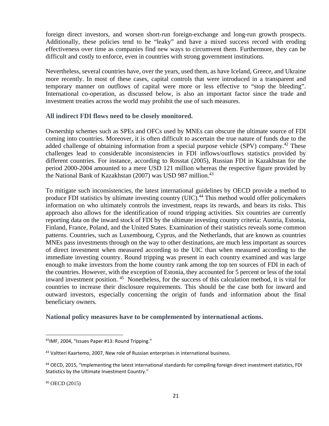foreign direct investors, and worsen short-run foreign-exchange and long-run growth prospects. Additionally, these policies tend to be "leaky" and have a mixed success record with eroding effectiveness over time as companies find new ways to circumvent them. Furthermore, they can be difficult and costly to enforce, even in countries with strong government institutions.

Nevertheless, several countries have, over the years, used them, as have Iceland, Greece, and Ukraine more recently. In most of these cases, capital controls that were introduced in a transparent and temporary manner on outflows of capital were more or less effective to "stop the bleeding". International co-operation, as discussed below, is also an important factor since the trade and investment treaties across the world may prohibit the use of such measures.

## **All indirect FDI flows need to be closely monitored.**

Ownership schemes such as SPEs and OFCs used by MNEs can obscure the ultimate source of FDI coming into countries. Moreover, it is often difficult to ascertain the true nature of funds due to the added challenge of obtaining information from a special purpose vehicle (SPV) company.<sup>42</sup> These challenges lead to considerable inconsistencies in FDI inflows/outflows statistics provided by different countries. For instance, according to Rosstat (2005), Russian FDI in Kazakhstan for the period 2000-2004 amounted to a mere USD 121 million whereas the respective figure provided by the National Bank of Kazakhstan (2007) was USD 987 million.<sup>43</sup>

To mitigate such inconsistencies, the latest international guidelines by OECD provide a method to produce FDI statistics by ultimate investing country (UIC).<sup>44</sup> This method would offer policymakers information on who ultimately controls the investment, reaps its rewards, and bears its risks. This approach also allows for the identification of round tripping activities. Six countries are currently reporting data on the inward stock of FDI by the ultimate investing country criteria: Austria, Estonia, Finland, France, Poland, and the United States. Examination of their statistics reveals some common patterns. Countries, such as Luxembourg, Cyprus, and the Netherlands, that are known as countries MNEs pass investments through on the way to other destinations, are much less important as sources of direct investment when measured according to the UIC than when measured according to the immediate investing country. Round tripping was present in each country examined and was large enough to make investors from the home country rank among the top ten sources of FDI in each of the countries. However, with the exception of Estonia, they accounted for 5 percent or less of the total inward investment position. 45 Nonetheless, for the success of this calculation method, it is vital for countries to increase their disclosure requirements. This should be the case both for inward and outward investors, especially concerning the origin of funds and information about the final beneficiary owners.

#### **National policy measures have to be complemented by international actions.**

<sup>45</sup> OECD (2015)

<sup>42</sup>IMF, 2004, "Issues Paper #13: Round Tripping."

<sup>&</sup>lt;sup>43</sup> Valtteri Kaartemo, 2007, New role of Russian enterprises in international business.

<sup>44</sup> OECD, 2015, "Implementing the latest international standards for compiling foreign direct investment statistics, FDI Statistics by the Ultimate Investment Country."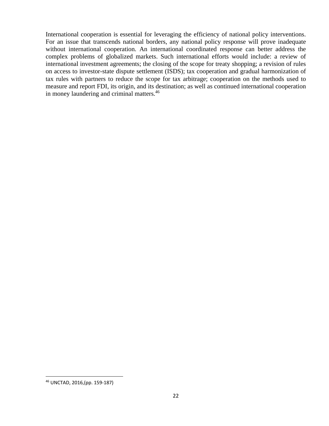International cooperation is essential for leveraging the efficiency of national policy interventions. For an issue that transcends national borders, any national policy response will prove inadequate without international cooperation. An international coordinated response can better address the complex problems of globalized markets. Such international efforts would include: a review of international investment agreements; the closing of the scope for treaty shopping; a revision of rules on access to investor-state dispute settlement (ISDS); tax cooperation and gradual harmonization of tax rules with partners to reduce the scope for tax arbitrage; cooperation on the methods used to measure and report FDI, its origin, and its destination; as well as continued international cooperation in money laundering and criminal matters.<sup>46</sup>

<sup>46</sup> UNCTAD, 2016,(pp. 159‐187)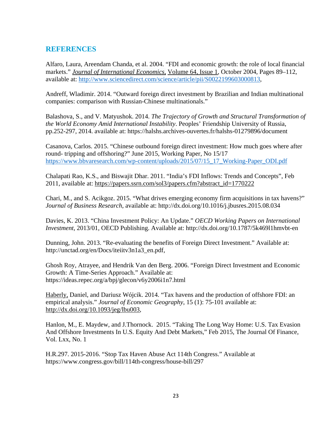# **REFERENCES**

Alfaro, Laura, Areendam Chanda, et al. 2004. "FDI and economic growth: the role of local financial markets." *Journal of International Economics,* Volume 64, Issue 1, October 2004, Pages 89–112, available at: http://www.sciencedirect.com/science/article/pii/S0022199603000813,

Andreff, Wladimir. 2014. "Outward foreign direct investment by Brazilian and Indian multinational companies: comparison with Russian-Chinese multinationals."

Balashova, S., and V. Matyushok. 2014. *The Trajectory of Growth and Structural Transformation of the World Economy Amid International Instability*. Peoples' Friendship University of Russia, pp.252-297, 2014. available at: https://halshs.archives-ouvertes.fr/halshs-01279896/document

Casanova, Carlos. 2015. "Chinese outbound foreign direct investment: How much goes where after round- tripping and offshoring?" June 2015, Working Paper, No 15/17 https://www.bbvaresearch.com/wp-content/uploads/2015/07/15\_17\_Working-Paper\_ODI.pdf

Chalapati Rao, K.S., and Biswajit Dhar. 2011. "India's FDI Inflows: Trends and Concepts", Feb 2011, available at: https://papers.ssrn.com/sol3/papers.cfm?abstract\_id=1770222

Chari, M., and S. Acikgoz. 2015. "What drives emerging economy firm acquisitions in tax havens?" *Journal of Business Research*, available at: http://dx.doi.org/10.1016/j.jbusres.2015.08.034

Davies, K. 2013. "China Investment Policy: An Update." *OECD Working Papers on International Investment*, 2013/01, OECD Publishing. Available at: http://dx.doi.org/10.1787/5k469l1hmvbt-en

Dunning, John. 2013. "Re-evaluating the benefits of Foreign Direct Investment." Available at: http://unctad.org/en/Docs/iteiitv3n1a3\_en.pdf,

Ghosh Roy, Atrayee, and Hendrik Van den Berg. 2006. "Foreign Direct Investment and Economic Growth: A Time-Series Approach." Available at: https://ideas.repec.org/a/bpj/glecon/v6y2006i1n7.html

Haberly, Daniel, and Dariusz Wójcik. 2014. "Tax havens and the production of offshore FDI: an empirical analysis." *Journal of Economic Geography*, 15 (1): 75-101 available at: http://dx.doi.org/10.1093/jeg/lbu003,

Hanlon, M., E. Maydew, and J.Thornock. 2015. "Taking The Long Way Home: U.S. Tax Evasion And Offshore Investments In U.S. Equity And Debt Markets," Feb 2015, The Journal Of Finance, Vol. Lxx, No. 1

H.R.297. 2015-2016. "Stop Tax Haven Abuse Act 114th Congress." Available at https://www.congress.gov/bill/114th-congress/house-bill/297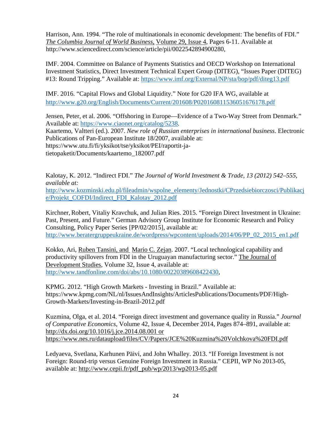Harrison, Ann. 1994. "The role of multinationals in economic development: The benefits of FDI." *The Columbia Journal of World Business,* Volume 29, Issue 4, Pages 6-11. Available at http://www.sciencedirect.com/science/article/pii/0022542894900280,

IMF. 2004. Committee on Balance of Payments Statistics and OECD Workshop on International Investment Statistics, Direct Investment Technical Expert Group (DITEG), "Issues Paper (DITEG) #13: Round Tripping." Available at: https://www.imf.org/External/NP/sta/bop/pdf/diteg13.pdf

IMF. 2016. "Capital Flows and Global Liquidity." Note for G20 IFA WG, available at http://www.g20.org/English/Documents/Current/201608/P020160811536051676178.pdf

Jensen, Peter, et al. 2006. "Offshoring in Europe—Evidence of a Two-Way Street from Denmark." Available at: https://www.ciaonet.org/catalog/5238.

Kaartemo, Valtteri (ed.). 2007. *New role of Russian enterprises in international business*. Electronic Publications of Pan-European Institute 18/2007, available at: https://www.utu.fi/fi/yksikot/tse/yksikot/PEI/raportit-ja-

tietopaketit/Documents/kaartemo\_182007.pdf

Kalotay, K. 2012. "Indirect FDI." *The Journal of World Investment & Trade, 13 (2012) 542–555, available at:*

http://www.kozminski.edu.pl/fileadmin/wspolne\_elementy/Jednostki/CPrzedsiebiorczosci/Publikacj e/Projekt\_COFDI/Indirect\_FDI\_Kalotay\_2012.pdf

Kirchner,Robert, Vitaliy Kravchuk, and Julian Ries. 2015. "Foreign Direct Investment in Ukraine: Past, Present, and Future." German Advisory Group Institute for Economic Research and Policy Consulting, Policy Paper Series [PP/02/2015], available at: http://www.beratergruppeukraine.de/wordpress/wpcontent/uploads/2014/06/PP\_02\_2015\_en1.pdf

Kokko, Ari, Ruben Tansini, and Mario C. Zejan. 2007. "Local technological capability and productivity spillovers from FDI in the Uruguayan manufacturing sector." The Journal of Development Studies, Volume 32, Issue 4, available at: http://www.tandfonline.com/doi/abs/10.1080/00220389608422430,

KPMG. 2012. "High Growth Markets - Investing in Brazil." Available at: https://www.kpmg.com/NL/nl/IssuesAndInsights/ArticlesPublications/Documents/PDF/High-Growth-Markets/Investing-in-Brazil-2012.pdf

Kuzmina, Olga, et al. 2014. "Foreign direct investment and governance quality in Russia." *Journal of Comparative Economics*, Volume 42, Issue 4, December 2014, Pages 874–891, available at: http://dx.doi.org/10.1016/j.jce.2014.08.001 or https://www.nes.ru/dataupload/files/CV/Papers/JCE%20Kuzmina%20Volchkova%20FDI.pdf

Ledyaeva, Svetlana, Karhunen Päivi, and John Whalley. 2013. "If Foreign Investment is not Foreign: Round-trip versus Genuine Foreign Investment in Russia." CEPII, WP No 2013-05, available at: http://www.cepii.fr/pdf\_pub/wp/2013/wp2013-05.pdf